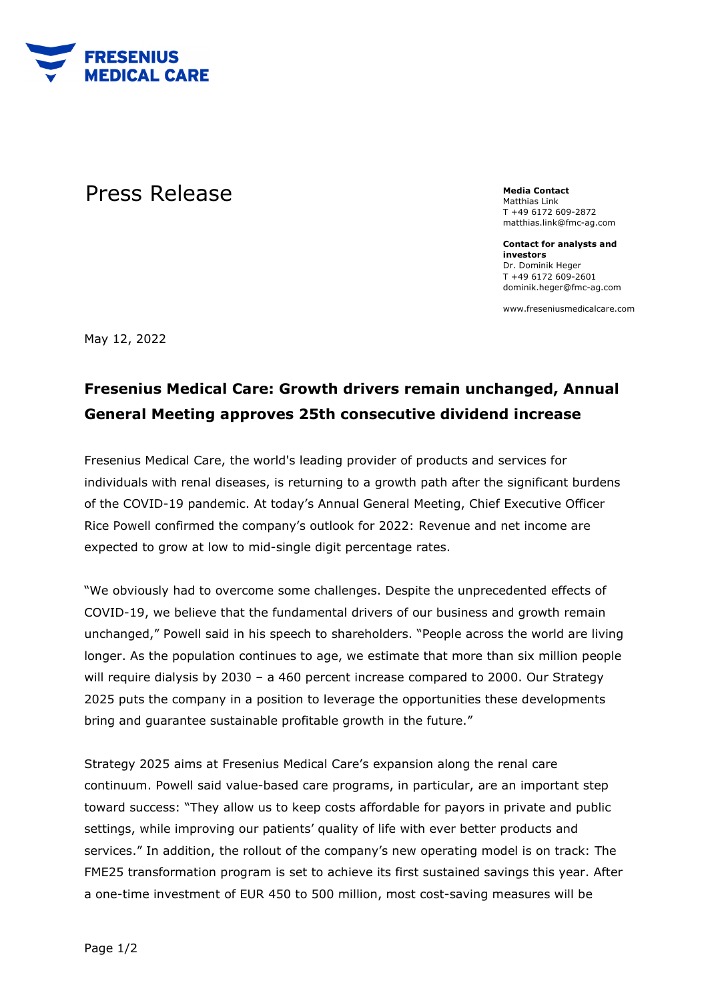

## Press Release **Media Contact**

Matthias Link T +49 6172 609-2872 matthias.link@fmc-ag.com

**Contact for analysts and investors**  Dr. Dominik Heger T +49 6172 609-2601 dominik.heger@fmc-ag.com

www.freseniusmedicalcare.com

May 12, 2022

## **Fresenius Medical Care: Growth drivers remain unchanged, Annual General Meeting approves 25th consecutive dividend increase**

Fresenius Medical Care, the world's leading provider of products and services for individuals with renal diseases, is returning to a growth path after the significant burdens of the COVID-19 pandemic. At today's Annual General Meeting, Chief Executive Officer Rice Powell confirmed the company's outlook for 2022: Revenue and net income are expected to grow at low to mid-single digit percentage rates.

"We obviously had to overcome some challenges. Despite the unprecedented effects of COVID-19, we believe that the fundamental drivers of our business and growth remain unchanged," Powell said in his speech to shareholders. "People across the world are living longer. As the population continues to age, we estimate that more than six million people will require dialysis by 2030 – a 460 percent increase compared to 2000. Our Strategy 2025 puts the company in a position to leverage the opportunities these developments bring and guarantee sustainable profitable growth in the future."

Strategy 2025 aims at Fresenius Medical Care's expansion along the renal care continuum. Powell said value-based care programs, in particular, are an important step toward success: "They allow us to keep costs affordable for payors in private and public settings, while improving our patients' quality of life with ever better products and services." In addition, the rollout of the company's new operating model is on track: The FME25 transformation program is set to achieve its first sustained savings this year. After a one-time investment of EUR 450 to 500 million, most cost-saving measures will be